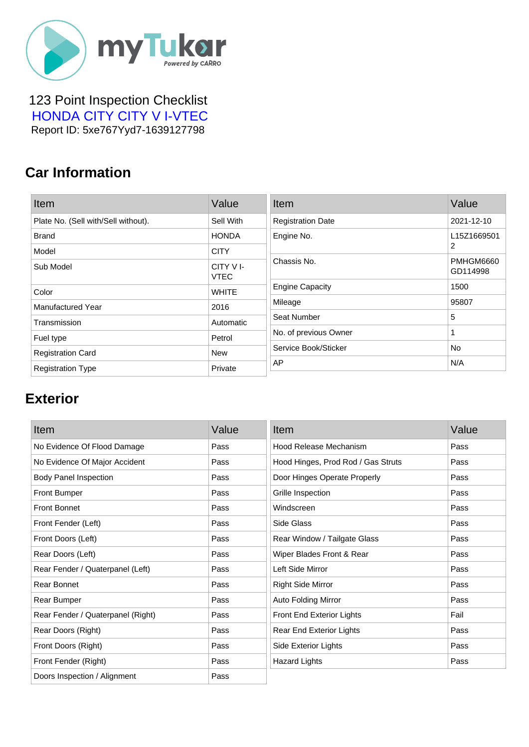

 123 Point Inspection Checklist  [HONDA CITY CITY V I-VTEC](https://mytukar.com/q/DR2K2P) Report ID: 5xe767Yyd7-1639127798

### **Car Information**

| Item                                | Value                   | Item                     | Value                 |
|-------------------------------------|-------------------------|--------------------------|-----------------------|
| Plate No. (Sell with/Sell without). | Sell With               | <b>Registration Date</b> | 2021-12-10            |
| <b>Brand</b>                        | <b>HONDA</b>            | Engine No.               | L15Z1669501           |
| Model                               | <b>CITY</b>             |                          | 2                     |
| Sub Model                           | CITY VI-<br><b>VTEC</b> | Chassis No.              | PMHGM6660<br>GD114998 |
| Color                               | <b>WHITE</b>            | <b>Engine Capacity</b>   | 1500                  |
| <b>Manufactured Year</b>            | 2016                    | Mileage                  | 95807                 |
| Transmission                        | Automatic               | Seat Number              | 5                     |
| Fuel type                           | Petrol                  | No. of previous Owner    |                       |
| <b>Registration Card</b>            | <b>New</b>              | Service Book/Sticker     | <b>No</b>             |
| <b>Registration Type</b>            | Private                 | AP                       | N/A                   |

#### **Exterior**

| Item                              | Value | Item                               | Value |
|-----------------------------------|-------|------------------------------------|-------|
| No Evidence Of Flood Damage       | Pass  | Hood Release Mechanism             | Pass  |
| No Evidence Of Major Accident     | Pass  | Hood Hinges, Prod Rod / Gas Struts | Pass  |
| <b>Body Panel Inspection</b>      | Pass  | Door Hinges Operate Properly       | Pass  |
| <b>Front Bumper</b>               | Pass  | Grille Inspection                  | Pass  |
| <b>Front Bonnet</b>               | Pass  | Windscreen                         | Pass  |
| Front Fender (Left)               | Pass  | Side Glass                         | Pass  |
| Front Doors (Left)                | Pass  | Rear Window / Tailgate Glass       | Pass  |
| Rear Doors (Left)                 | Pass  | Wiper Blades Front & Rear          | Pass  |
| Rear Fender / Quaterpanel (Left)  | Pass  | Left Side Mirror                   | Pass  |
| Rear Bonnet                       | Pass  | <b>Right Side Mirror</b>           | Pass  |
| Rear Bumper                       | Pass  | Auto Folding Mirror                | Pass  |
| Rear Fender / Quaterpanel (Right) | Pass  | Front End Exterior Lights          | Fail  |
| Rear Doors (Right)                | Pass  | <b>Rear End Exterior Lights</b>    | Pass  |
| Front Doors (Right)               | Pass  | Side Exterior Lights               | Pass  |
| Front Fender (Right)              | Pass  | <b>Hazard Lights</b>               | Pass  |
| Doors Inspection / Alignment      | Pass  |                                    |       |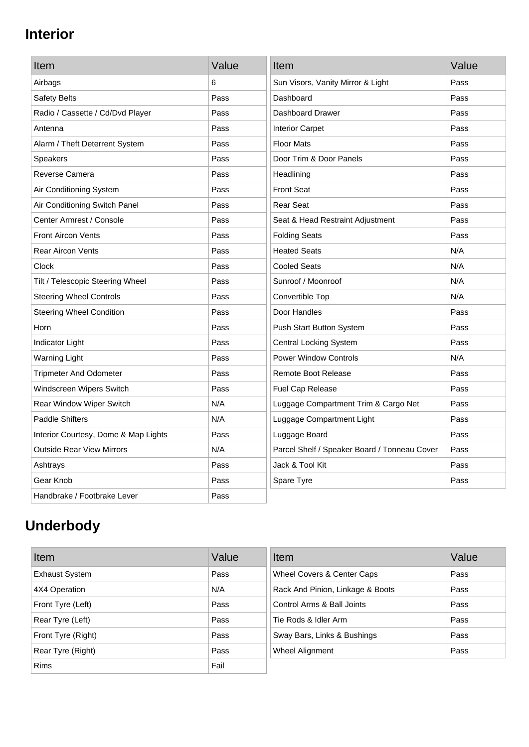## **Interior**

| Item                                 | Value | Item                                         | Value |
|--------------------------------------|-------|----------------------------------------------|-------|
| Airbags                              | 6     | Sun Visors, Vanity Mirror & Light            | Pass  |
| Safety Belts                         | Pass  | Dashboard                                    | Pass  |
| Radio / Cassette / Cd/Dvd Player     | Pass  | Dashboard Drawer                             | Pass  |
| Antenna                              | Pass  | <b>Interior Carpet</b>                       | Pass  |
| Alarm / Theft Deterrent System       | Pass  | <b>Floor Mats</b>                            | Pass  |
| <b>Speakers</b>                      | Pass  | Door Trim & Door Panels                      | Pass  |
| Reverse Camera                       | Pass  | Headlining                                   | Pass  |
| Air Conditioning System              | Pass  | <b>Front Seat</b>                            | Pass  |
| Air Conditioning Switch Panel        | Pass  | <b>Rear Seat</b>                             | Pass  |
| Center Armrest / Console             | Pass  | Seat & Head Restraint Adjustment             | Pass  |
| <b>Front Aircon Vents</b>            | Pass  | <b>Folding Seats</b>                         | Pass  |
| <b>Rear Aircon Vents</b>             | Pass  | <b>Heated Seats</b>                          | N/A   |
| Clock                                | Pass  | <b>Cooled Seats</b>                          | N/A   |
| Tilt / Telescopic Steering Wheel     | Pass  | Sunroof / Moonroof                           | N/A   |
| <b>Steering Wheel Controls</b>       | Pass  | Convertible Top                              | N/A   |
| <b>Steering Wheel Condition</b>      | Pass  | Door Handles                                 | Pass  |
| Horn                                 | Pass  | Push Start Button System                     | Pass  |
| <b>Indicator Light</b>               | Pass  | <b>Central Locking System</b>                | Pass  |
| <b>Warning Light</b>                 | Pass  | <b>Power Window Controls</b>                 | N/A   |
| <b>Tripmeter And Odometer</b>        | Pass  | <b>Remote Boot Release</b>                   | Pass  |
| Windscreen Wipers Switch             | Pass  | Fuel Cap Release                             | Pass  |
| Rear Window Wiper Switch             | N/A   | Luggage Compartment Trim & Cargo Net         | Pass  |
| <b>Paddle Shifters</b>               | N/A   | Luggage Compartment Light                    | Pass  |
| Interior Courtesy, Dome & Map Lights | Pass  | Luggage Board                                | Pass  |
| <b>Outside Rear View Mirrors</b>     | N/A   | Parcel Shelf / Speaker Board / Tonneau Cover | Pass  |
| Ashtrays                             | Pass  | Jack & Tool Kit                              | Pass  |
| Gear Knob                            | Pass  | Spare Tyre                                   | Pass  |
| Handbrake / Footbrake Lever          | Pass  |                                              |       |

# **Underbody**

| Item                  | Value | Item                             | Value |
|-----------------------|-------|----------------------------------|-------|
| <b>Exhaust System</b> | Pass  | Wheel Covers & Center Caps       | Pass  |
| 4X4 Operation         | N/A   | Rack And Pinion, Linkage & Boots | Pass  |
| Front Tyre (Left)     | Pass  | Control Arms & Ball Joints       | Pass  |
| Rear Tyre (Left)      | Pass  | Tie Rods & Idler Arm             | Pass  |
| Front Tyre (Right)    | Pass  | Sway Bars, Links & Bushings      | Pass  |
| Rear Tyre (Right)     | Pass  | Wheel Alignment                  | Pass  |
| <b>Rims</b>           | Fail  |                                  |       |